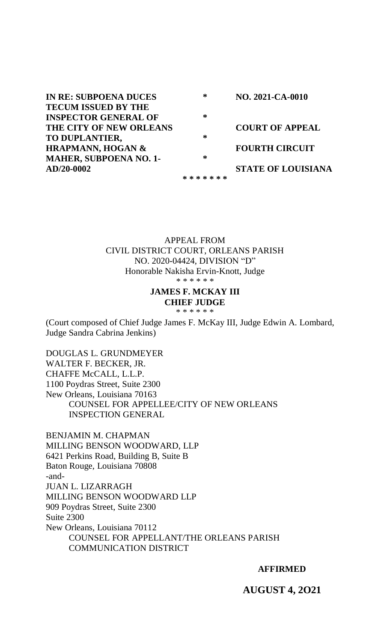**IN RE: SUBPOENA DUCES TECUM ISSUED BY THE INSPECTOR GENERAL OF THE CITY OF NEW ORLEANS TO DUPLANTIER, HRAPMANN, HOGAN & MAHER, SUBPOENA NO. 1- AD/20-0002 \* \* \* \* \* \* \* \* \* \* \* NO. 2021-CA-0010 COURT OF APPEAL FOURTH CIRCUIT STATE OF LOUISIANA**

> APPEAL FROM CIVIL DISTRICT COURT, ORLEANS PARISH NO. 2020-04424, DIVISION "D" Honorable Nakisha Ervin-Knott, Judge \* \* \* \* \* \*

#### **JAMES F. MCKAY III CHIEF JUDGE**

\* \* \* \* \* \*

(Court composed of Chief Judge James F. McKay III, Judge Edwin A. Lombard, Judge Sandra Cabrina Jenkins)

DOUGLAS L. GRUNDMEYER WALTER F. BECKER, JR. CHAFFE McCALL, L.L.P. 1100 Poydras Street, Suite 2300 New Orleans, Louisiana 70163 COUNSEL FOR APPELLEE/CITY OF NEW ORLEANS INSPECTION GENERAL

BENJAMIN M. CHAPMAN MILLING BENSON WOODWARD, LLP 6421 Perkins Road, Building B, Suite B Baton Rouge, Louisiana 70808 -and-JUAN L. LIZARRAGH MILLING BENSON WOODWARD LLP 909 Poydras Street, Suite 2300 Suite 2300 New Orleans, Louisiana 70112 COUNSEL FOR APPELLANT/THE ORLEANS PARISH COMMUNICATION DISTRICT

**AFFIRMED**

**AUGUST 4, 2O21**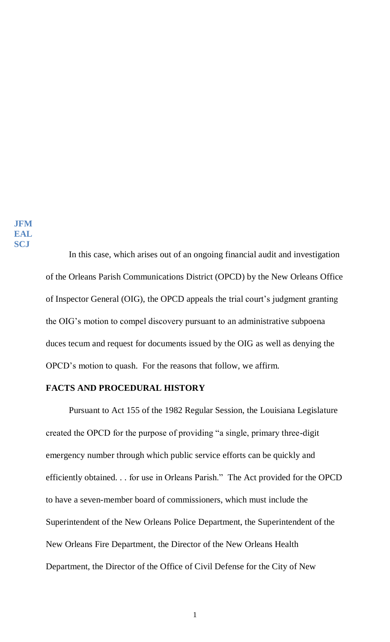In this case, which arises out of an ongoing financial audit and investigation of the Orleans Parish Communications District (OPCD) by the New Orleans Office of Inspector General (OIG), the OPCD appeals the trial court's judgment granting the OIG's motion to compel discovery pursuant to an administrative subpoena duces tecum and request for documents issued by the OIG as well as denying the OPCD's motion to quash. For the reasons that follow, we affirm.

### **FACTS AND PROCEDURAL HISTORY**

Pursuant to Act 155 of the 1982 Regular Session, the Louisiana Legislature created the OPCD for the purpose of providing "a single, primary three-digit emergency number through which public service efforts can be quickly and efficiently obtained. . . for use in Orleans Parish." The Act provided for the OPCD to have a seven-member board of commissioners, which must include the Superintendent of the New Orleans Police Department, the Superintendent of the New Orleans Fire Department, the Director of the New Orleans Health Department, the Director of the Office of Civil Defense for the City of New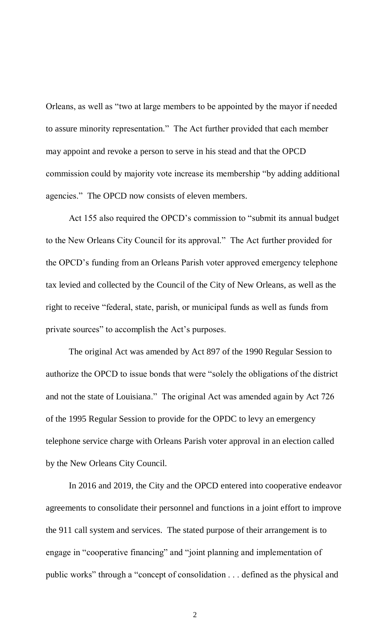Orleans, as well as "two at large members to be appointed by the mayor if needed to assure minority representation." The Act further provided that each member may appoint and revoke a person to serve in his stead and that the OPCD commission could by majority vote increase its membership "by adding additional agencies." The OPCD now consists of eleven members.

Act 155 also required the OPCD's commission to "submit its annual budget to the New Orleans City Council for its approval." The Act further provided for the OPCD's funding from an Orleans Parish voter approved emergency telephone tax levied and collected by the Council of the City of New Orleans, as well as the right to receive "federal, state, parish, or municipal funds as well as funds from private sources" to accomplish the Act's purposes.

The original Act was amended by Act 897 of the 1990 Regular Session to authorize the OPCD to issue bonds that were "solely the obligations of the district and not the state of Louisiana." The original Act was amended again by Act 726 of the 1995 Regular Session to provide for the OPDC to levy an emergency telephone service charge with Orleans Parish voter approval in an election called by the New Orleans City Council.

In 2016 and 2019, the City and the OPCD entered into cooperative endeavor agreements to consolidate their personnel and functions in a joint effort to improve the 911 call system and services. The stated purpose of their arrangement is to engage in "cooperative financing" and "joint planning and implementation of public works" through a "concept of consolidation . . . defined as the physical and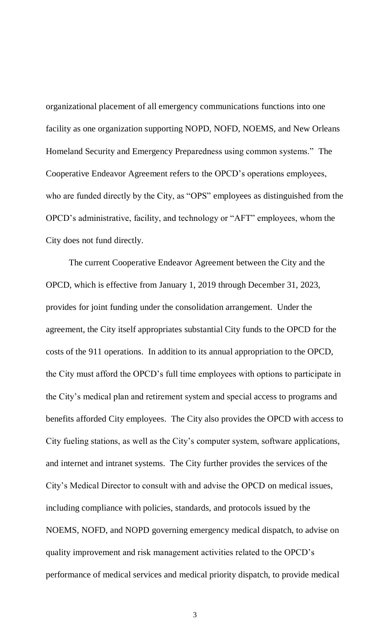organizational placement of all emergency communications functions into one facility as one organization supporting NOPD, NOFD, NOEMS, and New Orleans Homeland Security and Emergency Preparedness using common systems." The Cooperative Endeavor Agreement refers to the OPCD's operations employees, who are funded directly by the City, as "OPS" employees as distinguished from the OPCD's administrative, facility, and technology or "AFT" employees, whom the City does not fund directly.

The current Cooperative Endeavor Agreement between the City and the OPCD, which is effective from January 1, 2019 through December 31, 2023, provides for joint funding under the consolidation arrangement. Under the agreement, the City itself appropriates substantial City funds to the OPCD for the costs of the 911 operations. In addition to its annual appropriation to the OPCD, the City must afford the OPCD's full time employees with options to participate in the City's medical plan and retirement system and special access to programs and benefits afforded City employees. The City also provides the OPCD with access to City fueling stations, as well as the City's computer system, software applications, and internet and intranet systems. The City further provides the services of the City's Medical Director to consult with and advise the OPCD on medical issues, including compliance with policies, standards, and protocols issued by the NOEMS, NOFD, and NOPD governing emergency medical dispatch, to advise on quality improvement and risk management activities related to the OPCD's performance of medical services and medical priority dispatch, to provide medical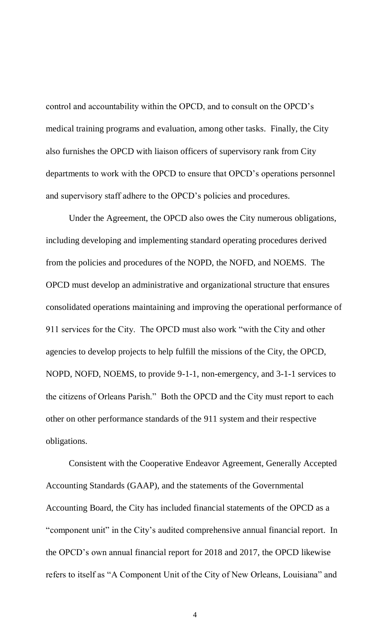control and accountability within the OPCD, and to consult on the OPCD's medical training programs and evaluation, among other tasks. Finally, the City also furnishes the OPCD with liaison officers of supervisory rank from City departments to work with the OPCD to ensure that OPCD's operations personnel and supervisory staff adhere to the OPCD's policies and procedures.

Under the Agreement, the OPCD also owes the City numerous obligations, including developing and implementing standard operating procedures derived from the policies and procedures of the NOPD, the NOFD, and NOEMS. The OPCD must develop an administrative and organizational structure that ensures consolidated operations maintaining and improving the operational performance of 911 services for the City. The OPCD must also work "with the City and other agencies to develop projects to help fulfill the missions of the City, the OPCD, NOPD, NOFD, NOEMS, to provide 9-1-1, non-emergency, and 3-1-1 services to the citizens of Orleans Parish." Both the OPCD and the City must report to each other on other performance standards of the 911 system and their respective obligations.

Consistent with the Cooperative Endeavor Agreement, Generally Accepted Accounting Standards (GAAP), and the statements of the Governmental Accounting Board, the City has included financial statements of the OPCD as a "component unit" in the City's audited comprehensive annual financial report. In the OPCD's own annual financial report for 2018 and 2017, the OPCD likewise refers to itself as "A Component Unit of the City of New Orleans, Louisiana" and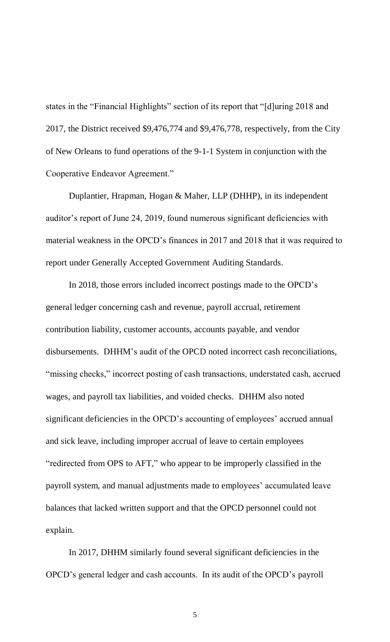states in the "Financial Highlights" section of its report that "[d]uring 2018 and 2017, the District received \$9,476,774 and \$9,476,778, respectively, from the City of New Orleans to fund operations of the 9-1-1 System in conjunction with the Cooperative Endeavor Agreement."

Duplantier, Hrapman, Hogan & Maher, LLP (DHHP), in its independent auditor's report of June 24, 2019, found numerous significant deficiencies with material weakness in the OPCD's finances in 2017 and 2018 that it was required to report under Generally Accepted Government Auditing Standards.

In 2018, those errors included incorrect postings made to the OPCD's general ledger concerning cash and revenue, payroll accrual, retirement contribution liability, customer accounts, accounts payable, and vendor disbursements. DHHM's audit of the OPCD noted incorrect cash reconciliations, "missing checks," incorrect posting of cash transactions, understated cash, accrued wages, and payroll tax liabilities, and voided checks. DHHM also noted significant deficiencies in the OPCD's accounting of employees' accrued annual and sick leave, including improper accrual of leave to certain employees "redirected from OPS to AFT," who appear to be improperly classified in the payroll system, and manual adjustments made to employees' accumulated leave balances that lacked written support and that the OPCD personnel could not explain.

In 2017, DHHM similarly found several significant deficiencies in the OPCD's general ledger and cash accounts. In its audit of the OPCD's payroll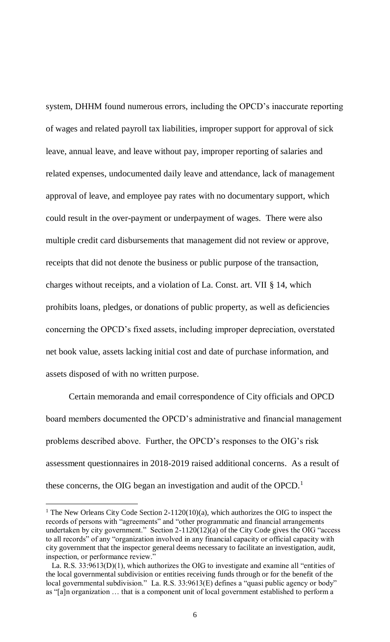system, DHHM found numerous errors, including the OPCD's inaccurate reporting of wages and related payroll tax liabilities, improper support for approval of sick leave, annual leave, and leave without pay, improper reporting of salaries and related expenses, undocumented daily leave and attendance, lack of management approval of leave, and employee pay rates with no documentary support, which could result in the over-payment or underpayment of wages. There were also multiple credit card disbursements that management did not review or approve, receipts that did not denote the business or public purpose of the transaction, charges without receipts, and a violation of La. Const. art. VII § 14, which prohibits loans, pledges, or donations of public property, as well as deficiencies concerning the OPCD's fixed assets, including improper depreciation, overstated net book value, assets lacking initial cost and date of purchase information, and assets disposed of with no written purpose.

Certain memoranda and email correspondence of City officials and OPCD board members documented the OPCD's administrative and financial management problems described above. Further, the OPCD's responses to the OIG's risk assessment questionnaires in 2018-2019 raised additional concerns. As a result of these concerns, the OIG began an investigation and audit of the OPCD. $<sup>1</sup>$ </sup>

 $\overline{a}$ 

<sup>&</sup>lt;sup>1</sup> The New Orleans City Code Section 2-1120(10)(a), which authorizes the OIG to inspect the records of persons with "agreements" and "other programmatic and financial arrangements undertaken by city government." Section 2-1120(12)(a) of the City Code gives the OIG "access to all records" of any "organization involved in any financial capacity or official capacity with city government that the inspector general deems necessary to facilitate an investigation, audit, inspection, or performance review."

La. R.S. 33:9613(D)(1), which authorizes the OIG to investigate and examine all "entities of the local governmental subdivision or entities receiving funds through or for the benefit of the local governmental subdivision." La. R.S. 33:9613(E) defines a "quasi public agency or body" as "[a]n organization … that is a component unit of local government established to perform a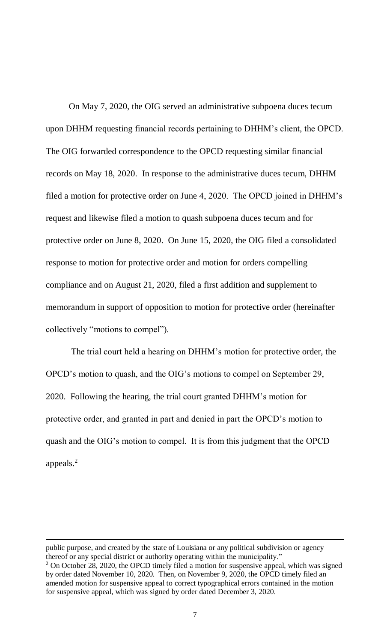On May 7, 2020, the OIG served an administrative subpoena duces tecum upon DHHM requesting financial records pertaining to DHHM's client, the OPCD. The OIG forwarded correspondence to the OPCD requesting similar financial records on May 18, 2020. In response to the administrative duces tecum, DHHM filed a motion for protective order on June 4, 2020. The OPCD joined in DHHM's request and likewise filed a motion to quash subpoena duces tecum and for protective order on June 8, 2020. On June 15, 2020, the OIG filed a consolidated response to motion for protective order and motion for orders compelling compliance and on August 21, 2020, filed a first addition and supplement to memorandum in support of opposition to motion for protective order (hereinafter collectively "motions to compel").

The trial court held a hearing on DHHM's motion for protective order, the OPCD's motion to quash, and the OIG's motions to compel on September 29, 2020. Following the hearing, the trial court granted DHHM's motion for protective order, and granted in part and denied in part the OPCD's motion to quash and the OIG's motion to compel. It is from this judgment that the OPCD appeals. $<sup>2</sup>$ </sup>

 $\overline{a}$ 

public purpose, and created by the state of Louisiana or any political subdivision or agency thereof or any special district or authority operating within the municipality."

 $2$  On October 28, 2020, the OPCD timely filed a motion for suspensive appeal, which was signed by order dated November 10, 2020. Then, on November 9, 2020, the OPCD timely filed an amended motion for suspensive appeal to correct typographical errors contained in the motion for suspensive appeal, which was signed by order dated December 3, 2020.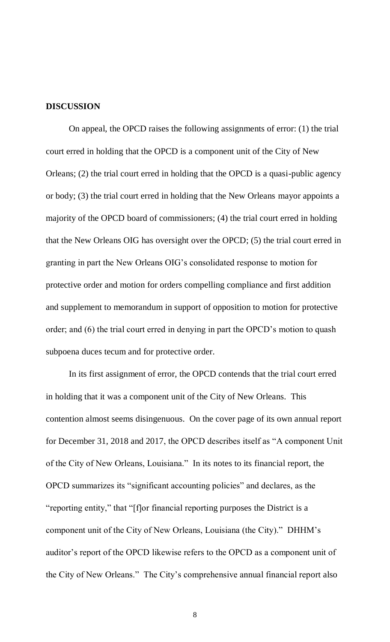#### **DISCUSSION**

On appeal, the OPCD raises the following assignments of error: (1) the trial court erred in holding that the OPCD is a component unit of the City of New Orleans; (2) the trial court erred in holding that the OPCD is a quasi-public agency or body; (3) the trial court erred in holding that the New Orleans mayor appoints a majority of the OPCD board of commissioners; (4) the trial court erred in holding that the New Orleans OIG has oversight over the OPCD; (5) the trial court erred in granting in part the New Orleans OIG's consolidated response to motion for protective order and motion for orders compelling compliance and first addition and supplement to memorandum in support of opposition to motion for protective order; and (6) the trial court erred in denying in part the OPCD's motion to quash subpoena duces tecum and for protective order.

In its first assignment of error, the OPCD contends that the trial court erred in holding that it was a component unit of the City of New Orleans. This contention almost seems disingenuous. On the cover page of its own annual report for December 31, 2018 and 2017, the OPCD describes itself as "A component Unit of the City of New Orleans, Louisiana." In its notes to its financial report, the OPCD summarizes its "significant accounting policies" and declares, as the "reporting entity," that "[f]or financial reporting purposes the District is a component unit of the City of New Orleans, Louisiana (the City)." DHHM's auditor's report of the OPCD likewise refers to the OPCD as a component unit of the City of New Orleans." The City's comprehensive annual financial report also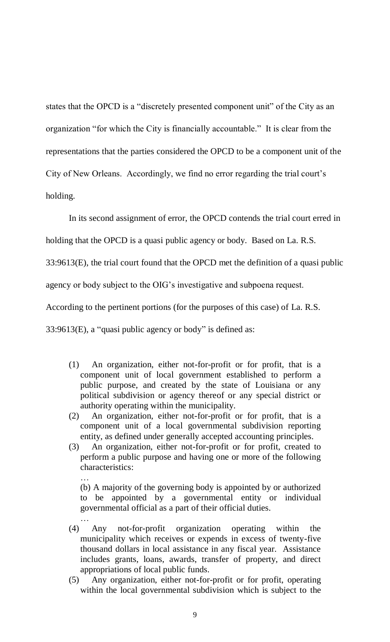states that the OPCD is a "discretely presented component unit" of the City as an organization "for which the City is financially accountable." It is clear from the representations that the parties considered the OPCD to be a component unit of the City of New Orleans. Accordingly, we find no error regarding the trial court's holding.

In its second assignment of error, the OPCD contends the trial court erred in

holding that the OPCD is a quasi public agency or body. Based on La. R.S.

33:9613(E), the trial court found that the OPCD met the definition of a quasi public

agency or body subject to the OIG's investigative and subpoena request.

According to the pertinent portions (for the purposes of this case) of La. R.S.

33:9613(E), a "quasi public agency or body" is defined as:

…

- (1) An organization, either not-for-profit or for profit, that is a component unit of local government established to perform a public purpose, and created by the state of Louisiana or any political subdivision or agency thereof or any special district or authority operating within the municipality.
- (2) An organization, either not-for-profit or for profit, that is a component unit of a local governmental subdivision reporting entity, as defined under generally accepted accounting principles.
- (3) An organization, either not-for-profit or for profit, created to perform a public purpose and having one or more of the following characteristics:

(b) A majority of the governing body is appointed by or authorized to be appointed by a governmental entity or individual governmental official as a part of their official duties. …

- (4) Any not-for-profit organization operating within the municipality which receives or expends in excess of twenty-five thousand dollars in local assistance in any fiscal year. Assistance includes grants, loans, awards, transfer of property, and direct appropriations of local public funds.
- (5) Any organization, either not-for-profit or for profit, operating within the local governmental subdivision which is subject to the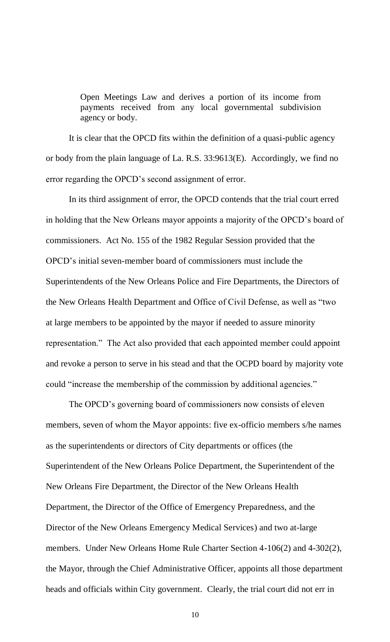Open Meetings Law and derives a portion of its income from payments received from any local governmental subdivision agency or body.

It is clear that the OPCD fits within the definition of a quasi-public agency or body from the plain language of La. R.S. 33:9613(E). Accordingly, we find no error regarding the OPCD's second assignment of error.

In its third assignment of error, the OPCD contends that the trial court erred in holding that the New Orleans mayor appoints a majority of the OPCD's board of commissioners. Act No. 155 of the 1982 Regular Session provided that the OPCD's initial seven-member board of commissioners must include the Superintendents of the New Orleans Police and Fire Departments, the Directors of the New Orleans Health Department and Office of Civil Defense, as well as "two at large members to be appointed by the mayor if needed to assure minority representation." The Act also provided that each appointed member could appoint and revoke a person to serve in his stead and that the OCPD board by majority vote could "increase the membership of the commission by additional agencies."

The OPCD's governing board of commissioners now consists of eleven members, seven of whom the Mayor appoints: five ex-officio members s/he names as the superintendents or directors of City departments or offices (the Superintendent of the New Orleans Police Department, the Superintendent of the New Orleans Fire Department, the Director of the New Orleans Health Department, the Director of the Office of Emergency Preparedness, and the Director of the New Orleans Emergency Medical Services) and two at-large members. Under New Orleans Home Rule Charter Section 4-106(2) and 4-302(2), the Mayor, through the Chief Administrative Officer, appoints all those department heads and officials within City government. Clearly, the trial court did not err in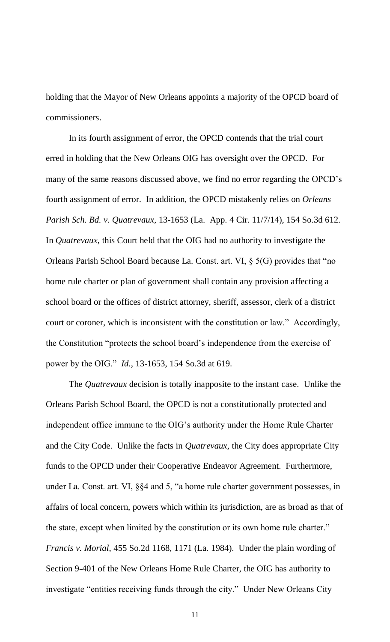holding that the Mayor of New Orleans appoints a majority of the OPCD board of commissioners.

In its fourth assignment of error, the OPCD contends that the trial court erred in holding that the New Orleans OIG has oversight over the OPCD. For many of the same reasons discussed above, we find no error regarding the OPCD's fourth assignment of error. In addition, the OPCD mistakenly relies on *Orleans Parish Sch. Bd. v. Quatrevaux,* 13-1653 (La. App. 4 Cir. 11/7/14), 154 So.3d 612. In *Quatrevaux,* this Court held that the OIG had no authority to investigate the Orleans Parish School Board because La. Const. art. VI, § 5(G) provides that "no home rule charter or plan of government shall contain any provision affecting a school board or the offices of district attorney, sheriff, assessor, clerk of a district court or coroner, which is inconsistent with the constitution or law." Accordingly, the Constitution "protects the school board's independence from the exercise of power by the OIG." *Id.*, 13-1653, 154 So.3d at 619.

The *Quatrevaux* decision is totally inapposite to the instant case. Unlike the Orleans Parish School Board, the OPCD is not a constitutionally protected and independent office immune to the OIG's authority under the Home Rule Charter and the City Code. Unlike the facts in *Quatrevaux*, the City does appropriate City funds to the OPCD under their Cooperative Endeavor Agreement. Furthermore, under La. Const. art. VI, §§4 and 5, "a home rule charter government possesses, in affairs of local concern, powers which within its jurisdiction, are as broad as that of the state, except when limited by the constitution or its own home rule charter." *Francis v. Morial*, 455 So.2d 1168, 1171 (La. 1984). Under the plain wording of Section 9-401 of the New Orleans Home Rule Charter, the OIG has authority to investigate "entities receiving funds through the city." Under New Orleans City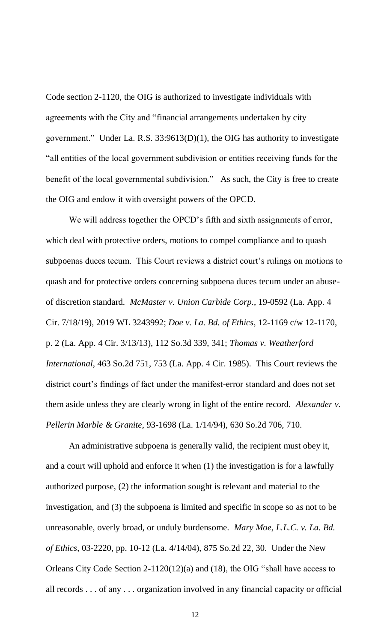Code section 2-1120, the OIG is authorized to investigate individuals with agreements with the City and "financial arrangements undertaken by city government." Under La. R.S. 33:9613(D)(1), the OIG has authority to investigate "all entities of the local government subdivision or entities receiving funds for the benefit of the local governmental subdivision." As such, the City is free to create the OIG and endow it with oversight powers of the OPCD.

We will address together the OPCD's fifth and sixth assignments of error, which deal with protective orders, motions to compel compliance and to quash subpoenas duces tecum. This Court reviews a district court's rulings on motions to quash and for protective orders concerning subpoena duces tecum under an abuseof discretion standard. *McMaster v. Union Carbide Corp.*, 19-0592 (La. App. 4 Cir. 7/18/19), 2019 WL 3243992; *Doe v. La. Bd. of Ethics*, 12-1169 c/w 12-1170, p. 2 (La. App. 4 Cir. 3/13/13), 112 So.3d 339, 341; *Thomas v. Weatherford International*, 463 So.2d 751, 753 (La. App. 4 Cir. 1985). This Court reviews the district court's findings of fact under the manifest-error standard and does not set them aside unless they are clearly wrong in light of the entire record. *Alexander v. Pellerin Marble & Granite*, 93-1698 (La. 1/14/94), 630 So.2d 706, 710.

An administrative subpoena is generally valid, the recipient must obey it, and a court will uphold and enforce it when (1) the investigation is for a lawfully authorized purpose, (2) the information sought is relevant and material to the investigation, and (3) the subpoena is limited and specific in scope so as not to be unreasonable, overly broad, or unduly burdensome. *Mary Moe, L.L.C. v. La. Bd. of Ethics*, 03-2220, pp. 10-12 (La. 4/14/04), 875 So.2d 22, 30. Under the New Orleans City Code Section 2-1120(12)(a) and (18), the OIG "shall have access to all records . . . of any . . . organization involved in any financial capacity or official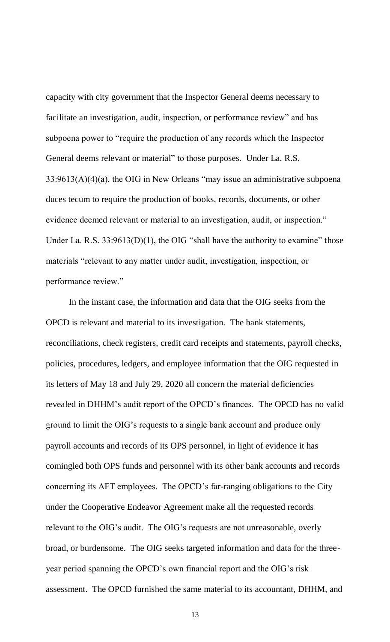capacity with city government that the Inspector General deems necessary to facilitate an investigation, audit, inspection, or performance review" and has subpoena power to "require the production of any records which the Inspector General deems relevant or material" to those purposes. Under La. R.S. 33:9613(A)(4)(a), the OIG in New Orleans "may issue an administrative subpoena duces tecum to require the production of books, records, documents, or other evidence deemed relevant or material to an investigation, audit, or inspection." Under La. R.S.  $33:9613(D)(1)$ , the OIG "shall have the authority to examine" those materials "relevant to any matter under audit, investigation, inspection, or performance review."

In the instant case, the information and data that the OIG seeks from the OPCD is relevant and material to its investigation. The bank statements, reconciliations, check registers, credit card receipts and statements, payroll checks, policies, procedures, ledgers, and employee information that the OIG requested in its letters of May 18 and July 29, 2020 all concern the material deficiencies revealed in DHHM's audit report of the OPCD's finances. The OPCD has no valid ground to limit the OIG's requests to a single bank account and produce only payroll accounts and records of its OPS personnel, in light of evidence it has comingled both OPS funds and personnel with its other bank accounts and records concerning its AFT employees. The OPCD's far-ranging obligations to the City under the Cooperative Endeavor Agreement make all the requested records relevant to the OIG's audit. The OIG's requests are not unreasonable, overly broad, or burdensome. The OIG seeks targeted information and data for the threeyear period spanning the OPCD's own financial report and the OIG's risk assessment. The OPCD furnished the same material to its accountant, DHHM, and